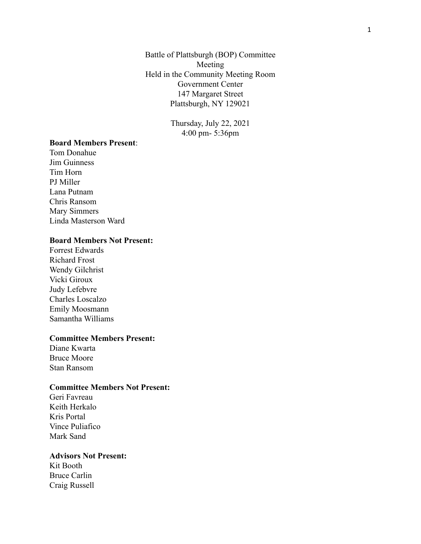Battle of Plattsburgh (BOP) Committee Meeting Held in the Community Meeting Room Government Center 147 Margaret Street Plattsburgh, NY 129021

> Thursday, July 22, 2021 4:00 pm- 5:36pm

## **Board Members Present**:

Tom Donahue Jim Guinness Tim Horn PJ Miller Lana Putnam Chris Ransom Mary Simmers Linda Masterson Ward

#### **Board Members Not Present:**

Forrest Edwards Richard Frost Wendy Gilchrist Vicki Giroux Judy Lefebvre Charles Loscalzo Emily Moosmann Samantha Williams

#### **Committee Members Present:**

Diane Kwarta Bruce Moore Stan Ransom

## **Committee Members Not Present:**

Geri Favreau Keith Herkalo Kris Portal Vince Puliafico Mark Sand

#### **Advisors Not Present:**

Kit Booth Bruce Carlin Craig Russell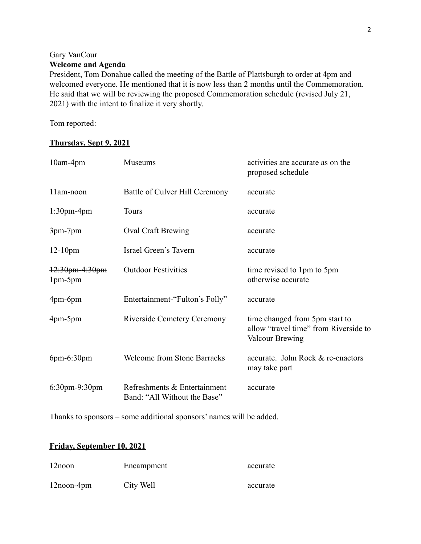# Gary VanCour **Welcome and Agenda**

President, Tom Donahue called the meeting of the Battle of Plattsburgh to order at 4pm and welcomed everyone. He mentioned that it is now less than 2 months until the Commemoration. He said that we will be reviewing the proposed Commemoration schedule (revised July 21, 2021) with the intent to finalize it very shortly.

Tom reported:

# **Thursday, Sept 9, 2021**

| 10am-4pm                  | Museums                                                      | activities are accurate as on the<br>proposed schedule                                            |
|---------------------------|--------------------------------------------------------------|---------------------------------------------------------------------------------------------------|
| 11am-noon                 | Battle of Culver Hill Ceremony                               | accurate                                                                                          |
| $1:30$ pm-4pm             | <b>Tours</b>                                                 | accurate                                                                                          |
| 3pm-7pm                   | <b>Oval Craft Brewing</b>                                    | accurate                                                                                          |
| $12-10$ pm                | Israel Green's Tavern                                        | accurate                                                                                          |
| 12:30pm-4:30pm<br>1pm-5pm | <b>Outdoor Festivities</b>                                   | time revised to 1pm to 5pm<br>otherwise accurate                                                  |
| $4pm-6pm$                 | Entertainment-"Fulton's Folly"                               | accurate                                                                                          |
| $4pm-5pm$                 | <b>Riverside Cemetery Ceremony</b>                           | time changed from 5pm start to<br>allow "travel time" from Riverside to<br><b>Valcour Brewing</b> |
| $6pm-6:30pm$              | <b>Welcome from Stone Barracks</b>                           | accurate. John Rock & re-enactors<br>may take part                                                |
| $6:30$ pm-9:30pm          | Refreshments & Entertainment<br>Band: "All Without the Base" | accurate                                                                                          |

Thanks to sponsors – some additional sponsors' names will be added.

# **Friday, September 10, 2021**

| $12$ noon     | Encampment | accurate |
|---------------|------------|----------|
| $12$ noon-4pm | City Well  | accurate |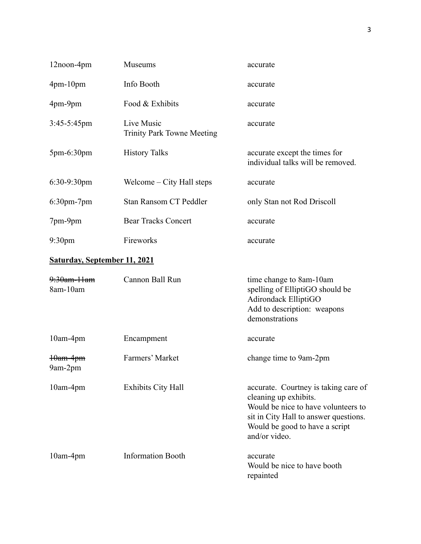| 12noon-4pm                          | Museums                                         | accurate                                                                                                                                                                                         |
|-------------------------------------|-------------------------------------------------|--------------------------------------------------------------------------------------------------------------------------------------------------------------------------------------------------|
| $4pm-10pm$                          | Info Booth                                      | accurate                                                                                                                                                                                         |
| 4pm-9pm                             | Food & Exhibits                                 | accurate                                                                                                                                                                                         |
| $3:45-5:45$ pm                      | Live Music<br><b>Trinity Park Towne Meeting</b> | accurate                                                                                                                                                                                         |
| 5pm-6:30pm                          | <b>History Talks</b>                            | accurate except the times for<br>individual talks will be removed.                                                                                                                               |
| $6:30-9:30$ pm                      | Welcome – City Hall steps                       | accurate                                                                                                                                                                                         |
| $6:30$ pm- $7$ pm                   | Stan Ransom CT Peddler                          | only Stan not Rod Driscoll                                                                                                                                                                       |
| 7pm-9pm                             | <b>Bear Tracks Concert</b>                      | accurate                                                                                                                                                                                         |
| 9:30 <sub>pm</sub>                  | Fireworks                                       | accurate                                                                                                                                                                                         |
| <b>Saturday, September 11, 2021</b> |                                                 |                                                                                                                                                                                                  |
| 9:30am-11am<br>8am-10am             | Cannon Ball Run                                 | time change to 8am-10am<br>spelling of ElliptiGO should be<br>Adirondack ElliptiGO<br>Add to description: weapons<br>demonstrations                                                              |
| 10am-4pm                            | Encampment                                      | accurate                                                                                                                                                                                         |
| <del>10am-4pm</del><br>9am-2pm      | Farmers' Market                                 | change time to 9am-2pm                                                                                                                                                                           |
| 10am-4pm                            | <b>Exhibits City Hall</b>                       | accurate. Courtney is taking care of<br>cleaning up exhibits.<br>Would be nice to have volunteers to<br>sit in City Hall to answer questions.<br>Would be good to have a script<br>and/or video. |
| $10am-4pm$                          | <b>Information Booth</b>                        | accurate<br>Would be nice to have booth<br>repainted                                                                                                                                             |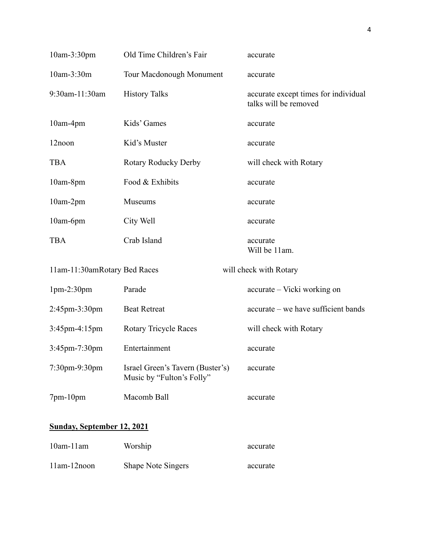| 10am-3:30pm                       | Old Time Children's Fair                                      | accurate                                                      |
|-----------------------------------|---------------------------------------------------------------|---------------------------------------------------------------|
| 10am-3:30m                        | Tour Macdonough Monument                                      | accurate                                                      |
| 9:30am-11:30am                    | <b>History Talks</b>                                          | accurate except times for individual<br>talks will be removed |
| 10am-4pm                          | Kids' Games                                                   | accurate                                                      |
| 12noon                            | Kid's Muster                                                  | accurate                                                      |
| <b>TBA</b>                        | Rotary Roducky Derby                                          | will check with Rotary                                        |
| 10am-8pm                          | Food & Exhibits                                               | accurate                                                      |
| 10am-2pm                          | Museums                                                       | accurate                                                      |
| 10am-6pm                          | City Well                                                     | accurate                                                      |
| <b>TBA</b>                        | Crab Island                                                   | accurate<br>Will be 11am.                                     |
| 11am-11:30amRotary Bed Races      |                                                               | will check with Rotary                                        |
| $1pm-2:30pm$                      | Parade                                                        | accurate - Vicki working on                                   |
| 2:45pm-3:30pm                     | <b>Beat Retreat</b>                                           | accurate – we have sufficient bands                           |
| 3:45pm-4:15pm                     | <b>Rotary Tricycle Races</b>                                  | will check with Rotary                                        |
| $3:45$ pm-7:30pm                  | Entertainment                                                 | accurate                                                      |
| $7:30$ pm-9:30pm                  | Israel Green's Tavern (Buster's)<br>Music by "Fulton's Folly" | accurate                                                      |
| 7pm-10pm                          | Macomb Ball                                                   | accurate                                                      |
| <b>Sunday, September 12, 2021</b> |                                                               |                                                               |
| $10om 11om$ Warshin               |                                                               |                                                               |

| $10$ am- $11$ am | Worship                   | accurate |
|------------------|---------------------------|----------|
| 11am-12noon      | <b>Shape Note Singers</b> | accurate |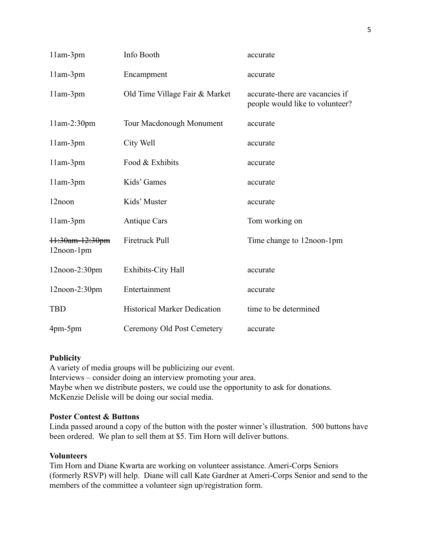| $11am-3pm$                    | Info Booth                          | accurate                                                           |
|-------------------------------|-------------------------------------|--------------------------------------------------------------------|
| 11am-3pm                      | Encampment                          | accurate                                                           |
| $11am-3pm$                    | Old Time Village Fair & Market      | accurate-there are vacancies if<br>people would like to volunteer? |
| $11am-2:30pm$                 | <b>Tour Macdonough Monument</b>     | accurate                                                           |
| $11am-3pm$                    | City Well                           | accurate                                                           |
| $11am-3pm$                    | Food & Exhibits                     | accurate                                                           |
| $11am-3pm$                    | Kids' Games                         | accurate                                                           |
| 12noon                        | Kids' Muster                        | accurate                                                           |
| $11am-3pm$                    | <b>Antique Cars</b>                 | Tom working on                                                     |
| 11:30am-12:30pm<br>12noon-1pm | Firetruck Pull                      | Time change to 12noon-1pm                                          |
| $12$ noon- $2:30$ pm          | <b>Exhibits-City Hall</b>           | accurate                                                           |
| $12$ noon- $2:30$ pm          | Entertainment                       | accurate                                                           |
| <b>TBD</b>                    | <b>Historical Marker Dedication</b> | time to be determined                                              |
| $4pm-5pm$                     | Ceremony Old Post Cemetery          | accurate                                                           |

# **Publicity**

A variety of media groups will be publicizing our event. Interviews – consider doing an interview promoting your area. Maybe when we distribute posters, we could use the opportunity to ask for donations. McKenzie Delisle will be doing our social media.

# **Poster Contest & Buttons**

Linda passed around a copy of the button with the poster winner's illustration. 500 buttons have been ordered. We plan to sell them at \$5. Tim Horn will deliver buttons.

# **Volunteers**

Tim Horn and Diane Kwarta are working on volunteer assistance. Ameri-Corps Seniors (formerly RSVP) will help. Diane will call Kate Gardner at Ameri-Corps Senior and send to the members of the committee a volunteer sign up/registration form.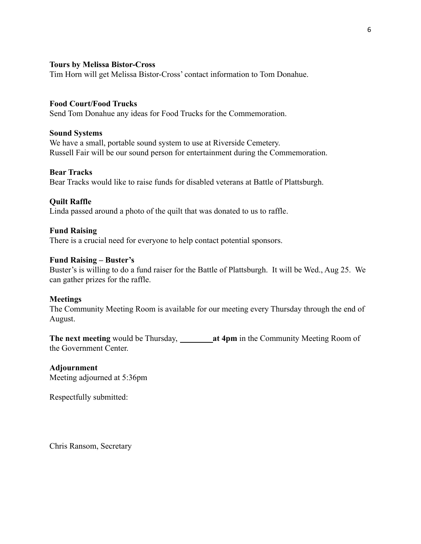## **Tours by Melissa Bistor-Cross**

Tim Horn will get Melissa Bistor-Cross' contact information to Tom Donahue.

## **Food Court/Food Trucks**

Send Tom Donahue any ideas for Food Trucks for the Commemoration.

## **Sound Systems**

We have a small, portable sound system to use at Riverside Cemetery. Russell Fair will be our sound person for entertainment during the Commemoration.

## **Bear Tracks**

Bear Tracks would like to raise funds for disabled veterans at Battle of Plattsburgh.

## **Quilt Raffle**

Linda passed around a photo of the quilt that was donated to us to raffle.

## **Fund Raising**

There is a crucial need for everyone to help contact potential sponsors.

## **Fund Raising – Buster's**

Buster's is willing to do a fund raiser for the Battle of Plattsburgh. It will be Wed., Aug 25. We can gather prizes for the raffle.

#### **Meetings**

The Community Meeting Room is available for our meeting every Thursday through the end of August.

**The next meeting** would be Thursday, **at 4pm** in the Community Meeting Room of the Government Center.

# **Adjournment**

Meeting adjourned at 5:36pm

Respectfully submitted:

Chris Ransom, Secretary